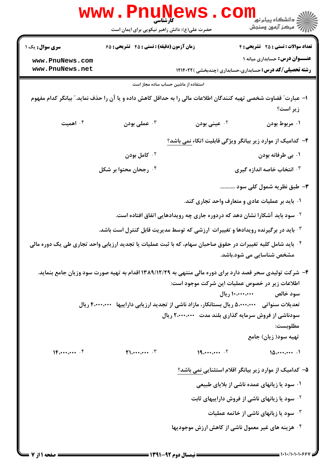|                        | <b>WWW.P</b><br>کارشناسی<br>حضرت علی(ع): دانش راهبر نیکویی برای ایمان است                                               |                                                      | ڪ دانشڪاه پيام نور<br>ر <i>ا</i> ⊂ مرڪز آزمون وسنڊش                                                      |
|------------------------|-------------------------------------------------------------------------------------------------------------------------|------------------------------------------------------|----------------------------------------------------------------------------------------------------------|
| <b>سری سوال :</b> یک ۱ | زمان آزمون (دقیقه) : تستی : 45 گشریحی : 68                                                                              |                                                      | <b>تعداد سوالات : تستی : 25 ۔ تشریحی : 4</b>                                                             |
| www.PnuNews.com        |                                                                                                                         |                                                      | عنــوان درس: حسابداری میانه ۱                                                                            |
| www.PnuNews.net        |                                                                                                                         |                                                      | <b>رشته تحصیلی/کد درس:</b> حسابداری،حسابداری (چندبخشی )۱۲۱۴۰۲۲                                           |
|                        | استفاده از ماشین حساب ساده مجاز است                                                                                     |                                                      |                                                                                                          |
|                        | ا– عبارت″ قضاوت شخصی تهیه کنندگان اطلاعات مالی را به حداقل کاهش داده و یا آن را حذف نماید.″ بیانگر کدام مفهوم           |                                                      | زير است؟                                                                                                 |
| ۰۴ اهمیت               | عملی بودن $\cdot$                                                                                                       | ۰۲ عینی بودن                                         | ۰۱ مربوط بودن                                                                                            |
|                        |                                                                                                                         |                                                      | ۲– کدامیک از موارد زیر بیانگر ویژگی قابلیت اتکاء نمی باشد؟                                               |
|                        | ۰ <sup>۲</sup> کامل بودن                                                                                                |                                                      | ۰۱ بي طرفانه بودن                                                                                        |
|                        | ۰ <sup>۴</sup> رجحان محتوا بر شکل                                                                                       |                                                      | ۰۳ انتخاب خاصه اندازه گیری                                                                               |
|                        |                                                                                                                         |                                                      | ۳- طبق نظریه شمول کلی سود                                                                                |
|                        |                                                                                                                         |                                                      | ۰۱ باید بر عملیات عادی و متعارف واحد تجاری کند.                                                          |
|                        |                                                                                                                         |                                                      | <sup>۲ .</sup> سود باید آشکارا نشان دهد که دردوره جاری چه رویدادهایی اتفاق افتاده است.                   |
|                        | ا باید در برگیرنده رویدادها و تغییرات ارزشی که توسط مدیریت قابل کنترل است باشد. $\cdot^\mathrm{v}$                      |                                                      |                                                                                                          |
|                        | <sup>۴</sup> · باید شامل کلیه تغییرات در حقوق صاحبان سهام، که با ثبت عملیات یا تجدید ارزیابی واحد تجاری طی یک دوره مالی |                                                      | مشخص شناسایی می شود.باشد.                                                                                |
|                        |                                                                                                                         |                                                      | ۴- شرکت تولیدی سحر قصد دارد برای دوره مالی منتهی به ۱۳۸۹/۱۲/۲۹ اقدام به تهیه صورت سود وزیان جامع بنماید. |
|                        |                                                                                                                         | اطلاعات زیر در خصوص عملیات این شرکت موجود است:       |                                                                                                          |
|                        | تعدیلات سنواتی   ۵٬۰۰۰٬۰۰۰ ریال بستانکار، مازاد ناشی از تجدید ارزیابی داراییها   ۴٬۰۰۰٬۰۰۰ ریال                         |                                                      | سود خالص می ۱۰،۰۰۰،۰۰۰ ریال                                                                              |
|                        |                                                                                                                         | سودناشی از فروش سرمایه گذاری بلند مدت ۲٬۰۰۰٬۰۰۰ ریال |                                                                                                          |
|                        |                                                                                                                         |                                                      | مطلوبست:                                                                                                 |
|                        |                                                                                                                         |                                                      | تهیه سود( زیان) جامع                                                                                     |
| 15.44443               | $\mathbf{M}_{\mathbf{t}}$                                                                                               | 19.444443                                            | 10.444                                                                                                   |
|                        |                                                                                                                         |                                                      | ۵– کدامیک از موارد زیر بیانگر اقلام استثنایی نمی باشد؟                                                   |
|                        |                                                                                                                         |                                                      | ۰۱ سود یا زیانهای عمده ناشی از بلایای طبیعی                                                              |
|                        |                                                                                                                         |                                                      | <sup>۲.</sup> سود یا زیانهای ناشی از فروش داراییهای ثابت                                                 |
|                        |                                                                                                                         |                                                      | ۰۳ سود یا زیانهای ناشی از خاتمه عملیات                                                                   |
|                        |                                                                                                                         |                                                      | ۰۴ هزینه های غیر معمول ناشی از کاهش ارزش موجودیها                                                        |
|                        |                                                                                                                         |                                                      |                                                                                                          |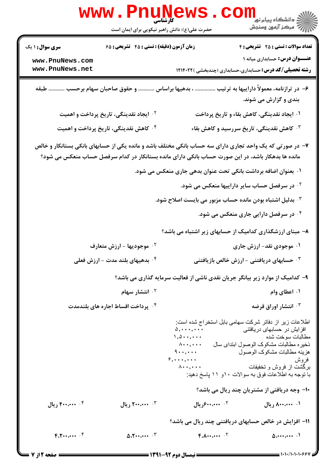|                                                              | www.PnuNews.<br>حضرت علی(ع): دانش راهبر نیکویی برای ایمان است | COI                                                                                                                                                                                                            | الاد دانشگاه پيام نور <mark>−ا</mark><br>  <i>  &gt;</i> مرکز آزمون وسنجش                                                                                                                                                                                                  |
|--------------------------------------------------------------|---------------------------------------------------------------|----------------------------------------------------------------------------------------------------------------------------------------------------------------------------------------------------------------|----------------------------------------------------------------------------------------------------------------------------------------------------------------------------------------------------------------------------------------------------------------------------|
| <b>سری سوال : ۱ یک</b><br>www.PnuNews.com<br>www.PnuNews.net | زمان آزمون (دقیقه) : تستی : ۴۵ گشریحی : ۶۵                    |                                                                                                                                                                                                                | <b>تعداد سوالات : تستی : 25 - تشریحی : 4</b><br><b>عنـــوان درس:</b> حسابداری میانه ۱<br><b>رشته تحصیلی/کد درس:</b> حسابداری،حسابداری (چندبخشی )۱۲۱۴۰۲۲                                                                                                                    |
|                                                              | ، بدهیها براساس  و حقوق صاحبان سهام برحسب  طبقه               |                                                                                                                                                                                                                | ۶– در ترازنامه، معمولاً داراییها به ترتیب<br>بندی و گزارش می شوند.                                                                                                                                                                                                         |
|                                                              | <sup>۲</sup> ۰ ایجاد نقدینگی، تاریخ پرداخت و اهمیت            |                                                                                                                                                                                                                | ۰۱ ایجاد نقدینگی، کاهش بقاء و تاریخ پرداخت                                                                                                                                                                                                                                 |
|                                                              | ۰۴ کاهش نقدینگی، تاریخ پرداخت و اهمیت                         |                                                                                                                                                                                                                | ۰ <sup>۳ ک</sup> اهش نقدینگی، تاریخ سررسید و کاهش بقاء                                                                                                                                                                                                                     |
|                                                              |                                                               | ۷– در صورتی که یک واحد تجاری دارای سه حساب بانکی مختلف باشد و مانده یکی از حسابهای بانکی بستانکار و خالص<br>مانده ها بدهکار باشد، در این صورت حساب بانکی دارای مانده بستانکار در کدام سرفصل حساب منعکس می شود؟ |                                                                                                                                                                                                                                                                            |
|                                                              |                                                               | ۰۱ بعنوان اضافه برداشت بانکی تحت عنوان بدهی جاری منعکس می شود.                                                                                                                                                 |                                                                                                                                                                                                                                                                            |
|                                                              |                                                               |                                                                                                                                                                                                                | <sup>۲.</sup> در سرفصل حساب سایر داراییها منعکس می شود.                                                                                                                                                                                                                    |
|                                                              |                                                               | ۰۳ بدلیل اشتباه بودن مانده حساب مزبور می بایست اصلاح شود.                                                                                                                                                      |                                                                                                                                                                                                                                                                            |
|                                                              |                                                               |                                                                                                                                                                                                                | ۰۴ در سرفصل دارایی جاری منعکس می شود.                                                                                                                                                                                                                                      |
|                                                              |                                                               | ۸- مبنای ارزشگذاری کدامیک از حسابهای زیر اشتباه می باشد؟                                                                                                                                                       |                                                                                                                                                                                                                                                                            |
|                                                              | <b>10 موجودیها - ارزش متعارف</b>                              |                                                                                                                                                                                                                | ۰۱ موجودی نقد- ارزش جاری                                                                                                                                                                                                                                                   |
|                                                              | ۰۴ بدهیهای بلند مدت – ارزش فعلی                               |                                                                                                                                                                                                                | ۰ <sup>۳</sup> حسابهای دریافتنی - ارزش خالص بازیافتنی                                                                                                                                                                                                                      |
|                                                              |                                                               | ۹- کدامیک از موارد زیر بیانگر جریان نقدی ناشی از فعالیت سرمایه گذاری می باشد؟                                                                                                                                  |                                                                                                                                                                                                                                                                            |
|                                                              | <sup>۲ .</sup> انتشار سهام                                    |                                                                                                                                                                                                                | ۰۱ اعطای وام                                                                                                                                                                                                                                                               |
|                                                              | ۰۴ پرداخت اقساط اجاره های بلندمدت                             |                                                                                                                                                                                                                | انتشار اوراق قرضه $\cdot$ ۳                                                                                                                                                                                                                                                |
|                                                              |                                                               | $\Delta$ , $\cdots$ , $\cdots$<br>$1,0 \cdots, \cdots$<br>.<br>$9 \cdots$<br>$9, \ldots, \ldots$<br>$\Lambda \cdots$ , $\cdots$                                                                                | اطلاعات زیر از دفاتر شرکت سهامی بابل استخراج شده است:<br>افز ایش در حسابهای دریافتنی<br>مطالبات سوخت شده<br>ذخیر ِه مطالبات مشکوک الوصول ابتدای سال<br>هزينه مطالبات مشكوك الوصول<br>فروش<br>برگشت از فروش و تخفیفات<br>با توجه به اطلاعات فوق به سوالات ۱۰و ۱۱ پاسخ دهید: |
|                                                              |                                                               |                                                                                                                                                                                                                | ۱۰– وجه دریافتی از مشتریان چند ریال می باشد؟                                                                                                                                                                                                                               |
| ۴. ۴۰۰٬۰۰۰ ریال                                              | ۰۳ میلی ۲۰۰،۰۰۰ ریال                                          | ۰۲ <i>۴۰۰٬۰۰۰ و</i> یال                                                                                                                                                                                        | ۰۱ ۸۰۰٬۰۰۰ ریال                                                                                                                                                                                                                                                            |
|                                                              |                                                               |                                                                                                                                                                                                                | 11- افزایش در خالص حسابهای دریافتنی چند ریال می باشد؟                                                                                                                                                                                                                      |
| $F_1, \ldots, F_n$                                           | $\Delta \cdot Y \cdot \cdot \cdot \cdot \cdot \cdot \cdot$    | $F.A \cdots \cdots$                                                                                                                                                                                            | $\Delta$                                                                                                                                                                                                                                                                   |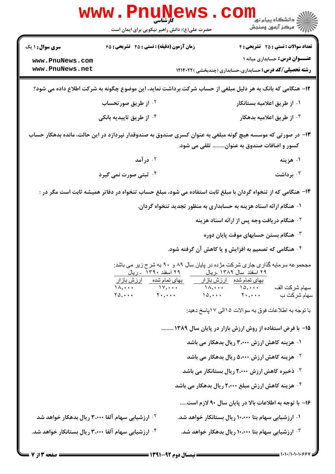| زمان آزمون (دقیقه) : تستی : ۴۵ گشریحی : ۶۵<br><b>تعداد سوالات : تستی : 25 ۔ تشریحی : 4</b><br><b>سری سوال :</b> ۱ یک<br><b>عنـــوان درس:</b> حسابداری میانه ۱<br>www.PnuNews.com<br>www.PnuNews.net<br><b>رشته تحصیلی/کد درس:</b> حسابداری،حسابداری (چندبخشی )۱۲۱۴۰۲۲<br>۱۲– هنگامی که بانک به هر دلیل مبلغی از حساب شرکت برداشت نماید، این موضوع چگونه به شرکت اطلاع داده می شود؟<br>۰۱ از طریق اعلامیه بستانکار<br>۰۲ از طریق صورتحساب<br>۰ <sup>۳</sup> از طریق اعلامیه بدهکار<br>۰ <sup>۴</sup> از طریق تاییدیه بانکی<br>۱۳– در صورتی که موسسه هیچ گونه مبلغی به عنوان کسری صندوق به صندوقدار نپردازد در این حالت، مانده بدهکار حساب |
|------------------------------------------------------------------------------------------------------------------------------------------------------------------------------------------------------------------------------------------------------------------------------------------------------------------------------------------------------------------------------------------------------------------------------------------------------------------------------------------------------------------------------------------------------------------------------------------------------------------------------------------|
|                                                                                                                                                                                                                                                                                                                                                                                                                                                                                                                                                                                                                                          |
|                                                                                                                                                                                                                                                                                                                                                                                                                                                                                                                                                                                                                                          |
|                                                                                                                                                                                                                                                                                                                                                                                                                                                                                                                                                                                                                                          |
|                                                                                                                                                                                                                                                                                                                                                                                                                                                                                                                                                                                                                                          |
| کسور و اضافات صندوق به عنوان تلقی می شود.                                                                                                                                                                                                                                                                                                                                                                                                                                                                                                                                                                                                |
| ۰۲ در آمد<br>۰۱ هزینه                                                                                                                                                                                                                                                                                                                                                                                                                                                                                                                                                                                                                    |
| برداشت $\cdot$<br>۰ <sup>۴ ژ</sup> بتی صورت نمی گیرد                                                                                                                                                                                                                                                                                                                                                                                                                                                                                                                                                                                     |
| ۱۴– هنگامی که از تنخواه گردان با مبلغ ثابت استفاده می شود، مبلغ حساب تنخواه در دفاتر همیشه ثابت است مگر در :                                                                                                                                                                                                                                                                                                                                                                                                                                                                                                                             |
| ۰۱ هنگام ارائه اسناد هزینه به حسابداری به منظور تجدید تنخواه گردان.                                                                                                                                                                                                                                                                                                                                                                                                                                                                                                                                                                      |
| <b>گ هنگام دریافت وجه پس از ارائه اسناد هزینه</b>                                                                                                                                                                                                                                                                                                                                                                                                                                                                                                                                                                                        |
| هنگام بستن حسابهای موقت پایان دوره $\cdot$                                                                                                                                                                                                                                                                                                                                                                                                                                                                                                                                                                                               |
| ۰۴ هنگامی که تصمیم به افزایش و یا کاهش آن گرفته شود.                                                                                                                                                                                                                                                                                                                                                                                                                                                                                                                                                                                     |
| مجحمو عه سر مایه گذاری جاری شرکت مژده در پایان سال ۸۹ و ۹۰ به شرح زیر می باشد:<br>۲۹ اسفند_سال ۱۳۸۹ ـريال<br><u>۲۹ اسفند ۱۳۹۰ - ریال</u><br>بها <i>ی</i> تمام شده ___ ارزش بازار<br>بهای تمام شده _ ارزش بازار<br>$\lambda, \ldots$ $\lambda, \ldots$<br>$\lambda, \ldots$ $\lambda, \ldots$<br>سهام شركت الف<br>$Y_{\alpha}, \ldots$ $Y_{\alpha}, \ldots$<br>$10, \ldots$ $1, \ldots$<br>سهام شركت ب                                                                                                                                                                                                                                    |
| با توجه به اطلاعات فوق به سوالات ۱۵الی ۱۷پاسخ دهید:                                                                                                                                                                                                                                                                                                                                                                                                                                                                                                                                                                                      |
| ۱۵– با فرض استفاده از روش ارزش بازار در پایان سال ۱۳۸۹                                                                                                                                                                                                                                                                                                                                                                                                                                                                                                                                                                                   |
| ۰۱ هزینه کاهش ارزش ۳،۰۰۰ ریال بدهکار می باشد                                                                                                                                                                                                                                                                                                                                                                                                                                                                                                                                                                                             |
| <sup>۲.</sup> هزینه کاهش ارزش ۵،۰۰۰ ریال بدهکار می باشد                                                                                                                                                                                                                                                                                                                                                                                                                                                                                                                                                                                  |
| ۰ <sup>۳ .</sup> ذخیره کاهش ارزش ۲،۰۰۰ ریال بستانکار می باشد                                                                                                                                                                                                                                                                                                                                                                                                                                                                                                                                                                             |
| ۰۴ هزینه کاهش ارزش مبلغ ۲٬۰۰۰ ریال بدهکار می باشد                                                                                                                                                                                                                                                                                                                                                                                                                                                                                                                                                                                        |
| ۱۶- با توجه به اطلاعات بالا در پایان سال ۹۰ لازم است                                                                                                                                                                                                                                                                                                                                                                                                                                                                                                                                                                                     |
| <sup>۲.</sup> ارزشیابی سهام آلفا ۳٬۰۰۰ ریال بدهکار خواهد شد<br>۰۱ ارزشیابی سهام بتا ۱۰،۰۰۰ ریال بستانکار خواهد شد.                                                                                                                                                                                                                                                                                                                                                                                                                                                                                                                       |
| ارزشیابی سهام بتا ۱۰،۰۰۰ ریال بدهکار خواهد شد. $^\circ$<br>۰۴ ارزشیابی سهام آلفا ۳،۰۰۰ ریال بستانکار خواهد شد.                                                                                                                                                                                                                                                                                                                                                                                                                                                                                                                           |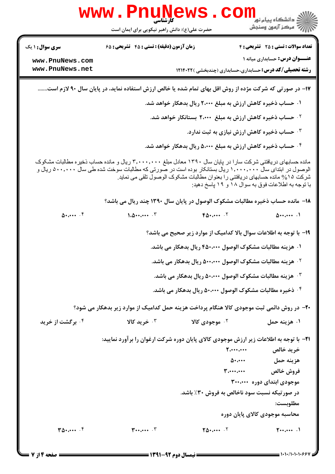|                              | <b>WWW.PNUNE</b><br>کارشناسی<br>حضرت علی(ع): دانش راهبر نیکویی برای ایمان است                                                                                                                                             |                                                                                                                                   | ڪ دانشڪاه پيا <sub>م</sub> نور<br><mark>ر</mark> 7 مرڪز آزمون وسنڊش |
|------------------------------|---------------------------------------------------------------------------------------------------------------------------------------------------------------------------------------------------------------------------|-----------------------------------------------------------------------------------------------------------------------------------|---------------------------------------------------------------------|
| <b>سری سوال : ۱ یک</b>       | زمان آزمون (دقیقه) : تستی : ۴۵ گشریحی : ۶۵                                                                                                                                                                                |                                                                                                                                   | <b>تعداد سوالات : تستی : 25 - تشریحی : 4</b>                        |
| www.PnuNews.com              |                                                                                                                                                                                                                           |                                                                                                                                   | <b>عنـــوان درس:</b> حسابداری میانه ۱                               |
| www.PnuNews.net              |                                                                                                                                                                                                                           | <b>رشته تحصیلی/کد درس:</b> حسابداری،حسابداری (چندبخشی )۱۲۱۴۰۲۲                                                                    |                                                                     |
|                              | ۱۷– در صورتی که شرکت مژده از روش اقل بهای تمام شده یا خالص ارزش استفاده نماید، در پایان سال ۹۰ لازم است                                                                                                                   |                                                                                                                                   |                                                                     |
|                              |                                                                                                                                                                                                                           | ۰۱ حساب ذخیره کاهش ارزش به مبلغ ۲٬۰۰۰ ریال بدهکار خواهد شد.                                                                       |                                                                     |
|                              |                                                                                                                                                                                                                           | <sup>۲.</sup> حساب ذخیره کاهش ارزش به مبلغ ۲٬۰۰۰ بستانکار خواهد شد.                                                               |                                                                     |
|                              |                                                                                                                                                                                                                           | $\cdot$ حساب ذخیره کاهش ارزش نیازی به ثبت ندارد. $\cdot$                                                                          |                                                                     |
|                              |                                                                                                                                                                                                                           | ۰۴ حساب ذخیره کاهش ارزش به مبلغ ۵،۰۰۰ ریال بدهکار خواهد شد.                                                                       |                                                                     |
|                              | مانده حسابهای دریافتنی شرکت سارا در پایان سال ۱۳۹۰ معادل مبلغ ۳٬۰۰۰٬۰۰۰ ریال و مانده حساب ذخیره مطالبات مشکوک<br>الوصول در ابتدای سال ۱٫۰۰۰٫۰۰۰ ریال بستانکار بوده است در صورتی که مطالبات سوخت شده طی سال ۵۰۰٫۰۰۰ ریال و | شرکت ۱۵% مانده حسابهای دریافتنی را بعنوان مطالبات مشکوک الوصول تلقی می نماید<br>با توجه به اطلاعات فوق به سوال ۱۸ و ۱۹ پاسخ دهید: |                                                                     |
|                              | ۱۸- مانده حساب ذخیره مطالبات مشکوک الوصول در پایان سال ۱۳۹۰ چند ریال می باشد؟                                                                                                                                             |                                                                                                                                   |                                                                     |
| $\Delta$                     | $1.0 \cdots \cdots$ $\cdot$                                                                                                                                                                                               | $F\Delta \cdot \cdots$ . $V$                                                                                                      | $\Delta$ 1                                                          |
|                              |                                                                                                                                                                                                                           | ۱۹- با توجه به اطلاعات سوال بالا کدامیک از موارد زیر صحیح می باشد؟                                                                |                                                                     |
|                              |                                                                                                                                                                                                                           | ۰۱ هزینه مطالبات مشکوک الوصول ۴۵۰،۰۰۰ ریال بدهکار می باشد.                                                                        |                                                                     |
|                              |                                                                                                                                                                                                                           | <sup>7</sup> · هزينه مطالبات مشكوك الوصول ۵۰۰٬۰۰۰ ريال بدهكار مي باشد.                                                            |                                                                     |
|                              |                                                                                                                                                                                                                           | ۰ <sup>۳</sup> هزینه مطالبات مشکوک الوصول ۵۰،۰۰۰ ریال بدهکار می باشد.                                                             |                                                                     |
|                              |                                                                                                                                                                                                                           | ۰۴ ذخیره مطالبات مشکوک الوصول ۵۰،۰۰۰ ریال بدهکار می باشد.                                                                         |                                                                     |
|                              | +۲- در روش دائمی ثبت موجودی کالا هنگام پرداخت هزینه حمل کدامیک از موارد زیر بدهکار می شود؟                                                                                                                                |                                                                                                                                   |                                                                     |
| ۰ <sup>۴</sup> برگشت از خرید | ۰ <sup>۳</sup> خرید کالا                                                                                                                                                                                                  | ۰ <sup>۲</sup> موجودی کالا                                                                                                        | ۰۱ هزینه حمل                                                        |
|                              | <b>۲۱</b> - با توجه به اطلاعات زیر ارزش موجودی کالای پایان دوره شرکت ارغوان را برآورد نمایید:                                                                                                                             |                                                                                                                                   |                                                                     |
|                              |                                                                                                                                                                                                                           |                                                                                                                                   |                                                                     |
|                              |                                                                                                                                                                                                                           |                                                                                                                                   | هزينه حمل ۵۰،۰۰۰                                                    |
|                              |                                                                                                                                                                                                                           | $\mathbf{y}_i$ and $\mathbf{y}_i$ are the set of $\mathbf{y}_i$                                                                   | فروش خالص                                                           |
|                              |                                                                                                                                                                                                                           |                                                                                                                                   | موجودی ابتدای دوره ۳۰۰،۰۰۰                                          |
|                              |                                                                                                                                                                                                                           | در صورتیکه نسبت سود ناخالص به فروش ۳۰٪ باشد.                                                                                      |                                                                     |
|                              |                                                                                                                                                                                                                           |                                                                                                                                   | مطلوبست:                                                            |
|                              |                                                                                                                                                                                                                           |                                                                                                                                   | محاسبه موجودی کالای پایان دوره                                      |
| $T\Delta t$                  | $\mathbf{r} \cdot \mathbf{r} \cdot \mathbf{r}$                                                                                                                                                                            | $\Upsilon \Delta \cdot \cdots$ $\vdots$                                                                                           | $T_{i+1}$ .                                                         |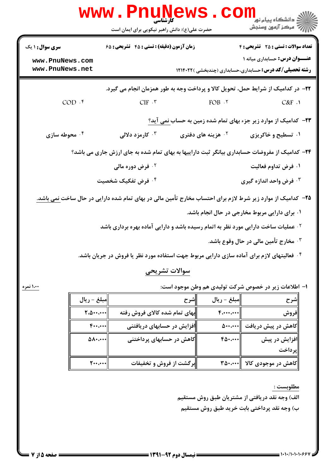|                        |                  | <b>WWW.Pnung</b>                                                                               |      |                                | ڪ دانشڪاه پيا <sub>م</sub> نور<br>۾ مرڪز آزمون وسنڊش                                                                       |  |
|------------------------|------------------|------------------------------------------------------------------------------------------------|------|--------------------------------|----------------------------------------------------------------------------------------------------------------------------|--|
|                        |                  | حضرت علی(ع): دانش راهبر نیکویی برای ایمان است                                                  |      |                                |                                                                                                                            |  |
| <b>سری سوال : ۱ یک</b> |                  | <b>زمان آزمون (دقیقه) : تستی : 45 تشریحی : 68</b>                                              |      |                                | <b>تعداد سوالات : تستی : 25 - تشریحی : 4</b>                                                                               |  |
| www.PnuNews.com        |                  |                                                                                                |      |                                | <b>عنـــوان درس:</b> حسابداری میانه ۱                                                                                      |  |
| www.PnuNews.net        |                  |                                                                                                |      |                                | <b>رشته تحصیلی/کد درس:</b> حسابداری،حسابداری (چندبخشی )۱۲۱۴۰۲۲                                                             |  |
|                        |                  |                                                                                                |      |                                | ۲۲- در کدامیک از شرایط حمل، تحویل کالا و پرداخت وجه به طور همزمان انجام می گیرد.                                           |  |
| $COD.$ *               |                  | CIF.                                                                                           |      | $FOB \cdot Y$                  | C&F.1                                                                                                                      |  |
|                        |                  |                                                                                                |      |                                | <b>۲۳</b> - کدامیک از موارد زیر جزء بهای تمام شده زمین به حساب نمی آید؟                                                    |  |
| ۰۴ محوطه سازی          |                  | کارمزد دلالی $\cdot^{\mathsf{y}}$                                                              |      | ۰ <sup>۲</sup> هزینه های دفتری | ۰۱ تسطیح و خاکریزی                                                                                                         |  |
|                        |                  |                                                                                                |      |                                | ۲۴- کدامیک از مفروضات حسابداری بیانگر ثبت داراییها به بهای تمام شده به جای ارزش جاری می باشد؟                              |  |
|                        |                  | ۰ <sup>۲</sup> فرض دوره مالی                                                                   |      |                                | ۰۱ فرض تداوم فعالیت                                                                                                        |  |
|                        |                  | ۰ <sup>۴</sup> فرض تفکیک شخصیت                                                                 |      |                                | ۰۳ فرض واحد اندازه گیری                                                                                                    |  |
|                        |                  |                                                                                                |      |                                | <b>۲۵</b> – کدامیک از موارد زیر شرط لازم برای احتساب مخارج تأمین مالی در بهای تمام شده دارایی در حال ساخت <u>نمی باشد.</u> |  |
|                        |                  |                                                                                                |      |                                | ۰۱ برای دارایی مربوط مخارجی در حال انجام باشد.                                                                             |  |
|                        |                  | <sup>۲ .</sup> عملیات ساخت دارایی مورد نظر به اتمام رسیده باشد و دارایی آماده بهره برداری باشد |      |                                |                                                                                                                            |  |
|                        |                  |                                                                                                |      |                                | ۰۳ مخارج تأمین مالی در حال وقوع باشد.                                                                                      |  |
|                        |                  |                                                                                                |      |                                | <sup>۴ .</sup> فعالیتهای لازم برای آماده سازی دارایی مربوط جهت استفاده مورد نظر یا فروش در جریان باشد.                     |  |
|                        |                  | سوالات تشريحي                                                                                  |      |                                |                                                                                                                            |  |
| ۱،۰۰ نمره              |                  |                                                                                                |      |                                | ۱– اطلاعات زیر در خصوص شرکت تولیدی هم وطن موجود است:                                                                       |  |
|                        | مبلغ – ريال      |                                                                                                | ∥شرح | مبلغ - ريال                    | شرح                                                                                                                        |  |
|                        | 7.0              | بهای تمام شده کالای فروش رفته                                                                  |      | $F_{i*+1}$                     | فروش                                                                                                                       |  |
|                        | $F_{\cdots}$     | افزایش در حسابهای دریافتنی                                                                     |      |                                | کاهش در پیش دریافت ¶۵۰۰،۰۰۰                                                                                                |  |
|                        | $\Delta \Lambda$ | کاهش در حسابهای پرداختنی                                                                       |      | $F\Delta\cdot\cdots$           | افزایش در پیش                                                                                                              |  |

||کاهش در حسابهای پرداختنی  $f_0, \ldots$ ||فزایش در پیش |پر داخت ||برگشت از فروش و تخفیفات |کاهش در موجودی کالا ||۳۵۰،۰۰۰

مطلوبست :

الف) وجه نقد دریافتی از مشتریان طبق روش مستقیم ب) وجه نقد پرداختی بابت خرید طبق روش مستقیم

 $\gamma$ ...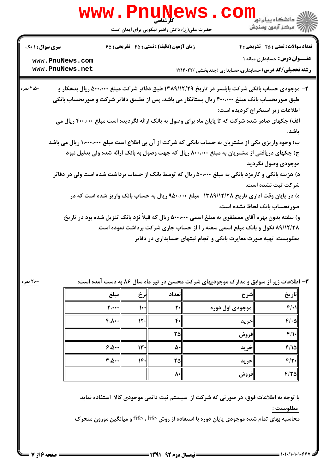|                        | <b>www.Pnur</b>                                                                                    |                               |                                               |                                                                                            |       | د دانشگاه پيام نو <b>ر</b>                   |
|------------------------|----------------------------------------------------------------------------------------------------|-------------------------------|-----------------------------------------------|--------------------------------------------------------------------------------------------|-------|----------------------------------------------|
|                        |                                                                                                    |                               | حضرت علی(ع): دانش راهبر نیکویی برای ایمان است |                                                                                            |       | " مرڪز آزمون وسنڊش                           |
| <b>سری سوال : ۱ یک</b> |                                                                                                    |                               | زمان آزمون (دقیقه) : تستی : ۴۵ گشریحی : ۶۵    |                                                                                            |       | <b>تعداد سوالات : تستی : 25 - تشریحی : 4</b> |
|                        | www.PnuNews.com                                                                                    |                               |                                               |                                                                                            |       | <b>عنـــوان درس:</b> حسابداری میانه ۱        |
|                        | www.PnuNews.net                                                                                    |                               |                                               | <b>رشته تحصیلی/کد درس:</b> حسابداری،حسابداری (چندبخشی )۱۲۱۴۰۲۲                             |       |                                              |
| ۲،۵۰ نمره              | ۲- موجودی حساب بانکی شرکت بابلسر در تاریخ ۱۳۸۹/۱۲/۲۹ طبق دفاتر شرکت مبلغ ۵۰۰٬۰۰۰ ریال بدهکار و     |                               |                                               |                                                                                            |       |                                              |
|                        | طبق صور تحساب بانک مبلغ ۴۰۰،۰۰۰ ریال بستانکار می باشد. پس از تطبیق دفاتر شرکت و صور تحساب بانکی    |                               |                                               |                                                                                            |       |                                              |
|                        |                                                                                                    |                               |                                               |                                                                                            |       | اطلاعات زیر استخراج گردیده است:              |
|                        | الف) چکهای صادر شده شرکت که تا پایان ماه برای وصول به بانک ارائه نگردیده است مبلغ ۴۰۰،۰۰۰ ریال می  |                               |                                               |                                                                                            |       |                                              |
|                        |                                                                                                    |                               |                                               |                                                                                            |       | باشد.                                        |
|                        | ب) وجوه واریزی یکی از مشتریان به حساب بانکی که شرکت از آن بی اطلاع است مبلغ ۱٬۰۰۰٬۰۰۰ ریال می باشد |                               |                                               |                                                                                            |       |                                              |
|                        | ج) چکهای دریافتی از مشتریان به مبلغ ۸۰۰،۰۰۰ ریال که جهت وصول به بانک ارائه شده ولی بدلیل نبود      |                               |                                               |                                                                                            |       |                                              |
|                        |                                                                                                    |                               |                                               |                                                                                            |       | موجودی وصول نگردید.                          |
|                        | د) هزینه بانکی و کارمزد بانکی به مبلغ ۵۰،۰۰۰ ریال که توسط بانک از حساب برداشت شده است ولی در دفاتر |                               |                                               |                                                                                            |       |                                              |
|                        |                                                                                                    |                               |                                               |                                                                                            |       | شركت ثبت نشده است.                           |
|                        |                                                                                                    |                               |                                               | ه) در پایان وقت اداری تاریخ ۱۳۸۹/۱۲/۲۸٪ مبلغ ۹۵۰٬۰۰۰ ریال به حساب بانک واریز شده است که در |       |                                              |
|                        |                                                                                                    |                               |                                               |                                                                                            |       | صورتحساب بانک لحاظ نشده است.                 |
|                        | و) سفته بدون بهره آقای مصطفوی به مبلغ اسمی ۵۰۰٬۰۰۰ ریال که قبلاً نزد بانک تنزیل شده بود در تاریخ   |                               |                                               |                                                                                            |       |                                              |
|                        |                                                                                                    |                               |                                               | ۸۹/۱۲/۲۸ نکول و بانک مبلغ اسمی سفته ر ا از حساب جاری شرکت برداشت نموده است.                |       |                                              |
|                        |                                                                                                    |                               |                                               | مطلوبست: تهیه صورت مغایرت بانکی و انجام ثبتهای حسابداری در دفاتر                           |       |                                              |
|                        |                                                                                                    |                               |                                               |                                                                                            |       |                                              |
|                        |                                                                                                    |                               |                                               |                                                                                            |       |                                              |
|                        |                                                                                                    |                               |                                               |                                                                                            |       |                                              |
| ۲،۰۰ نمره              |                                                                                                    |                               |                                               | ۳- اطلاعات زیر از سوابق و مدارک موجودیهای شرکت محسن در تیر ماه سال ۸۶ به دست آمده است:     |       |                                              |
|                        | مبلغ                                                                                               | ∥نرخ                          | تعداد                                         |                                                                                            | شرح   | تاريخ                                        |
|                        | $\mathbf{y}$                                                                                       | $\mathcal{L}$                 | $\mathsf{r}$                                  | موجودی اول دوره                                                                            |       | $f(\cdot)$                                   |
|                        | F.A.                                                                                               | $\left\Vert \cdot\right\Vert$ | $\mathfrak{r}$ .                              |                                                                                            | إخريد | $F/\cdot \Delta$                             |

 $9.0...$ 

 $\mathbf{r}.\Delta \cdot \cdot$ 

 $11.$ 

 $14.$ 

با توجه به اطلاعات فوق، در صورتی که شرکت از سیستم ثبت دائمی موجودی کالا استفاده نماید مطلوبست :

۲۵

Δ٠

۲۵

 $\lambda$ 

محاسبه بهای تمام شده موجودی پایان دوره با استفاده از روش fifo ، lifo و میانگین موزون متحرک

 $F/\prime$ 

 $F/\Omega$ 

 $F/Y$ 

 $F/Y$ 

إفروش

خريد

إخريد

إفروش